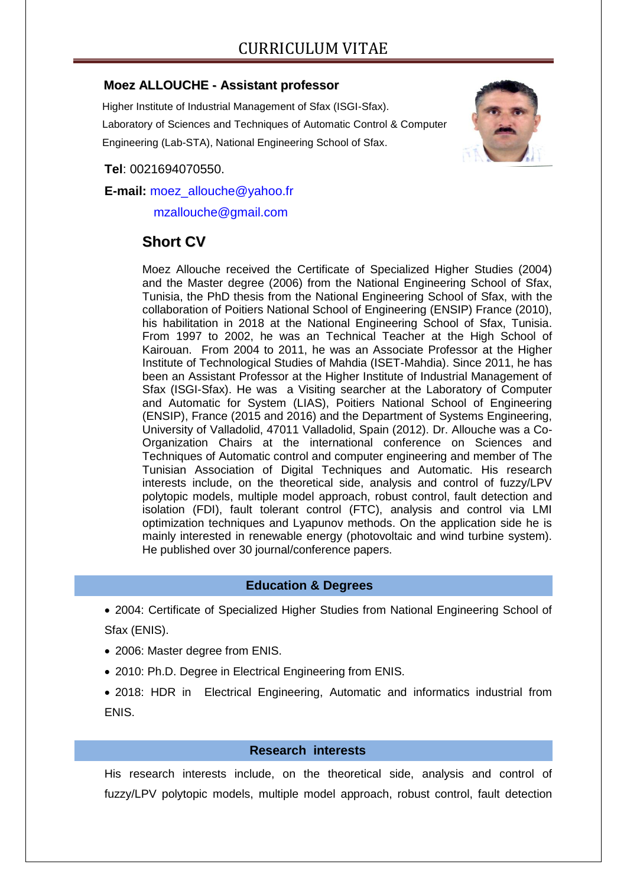## **Moez ALLOUCHE - Assistant professor**

Higher Institute of Industrial Management of Sfax (ISGI-Sfax).

Laboratory of Sciences and Techniques of Automatic Control & Computer

Engineering (Lab-STA), National Engineering School of Sfax.



**Tel**: 0021694070550.

**E-mail:** [moez\\_allouche@yahoo.fr](mailto:moez_allouche@yahoo.fr)

mzallouche@gmail.com

# **Short CV**

Moez Allouche received the Certificate of Specialized Higher Studies (2004) and the Master degree (2006) from the National Engineering School of Sfax, Tunisia, the PhD thesis from the National Engineering School of Sfax, with the collaboration of Poitiers National School of Engineering (ENSIP) France (2010), his habilitation in 2018 at the National Engineering School of Sfax, Tunisia. From 1997 to 2002, he was an Technical Teacher at the High School of Kairouan. From 2004 to 2011, he was an Associate Professor at the Higher Institute of Technological Studies of Mahdia (ISET-Mahdia). Since 2011, he has been an Assistant Professor at the Higher Institute of Industrial Management of Sfax (ISGI-Sfax). He was a Visiting searcher at the Laboratory of Computer and Automatic for System (LIAS), Poitiers National School of Engineering (ENSIP), France (2015 and 2016) and the Department of Systems Engineering, University of Valladolid, 47011 Valladolid, Spain (2012). Dr. Allouche was a Co-Organization Chairs at the international conference on Sciences and Techniques of Automatic control and computer engineering and member of The Tunisian Association of Digital Techniques and Automatic. His research interests include, on the theoretical side, analysis and control of fuzzy/LPV polytopic models, multiple model approach, robust control, fault detection and isolation (FDI), fault tolerant control (FTC), analysis and control via LMI optimization techniques and Lyapunov methods. On the application side he is mainly interested in renewable energy (photovoltaic and wind turbine system). He published over 30 journal/conference papers.

# **Education & Degrees**

- 2004: Certificate of Specialized Higher Studies from National Engineering School of Sfax (ENIS).
- 2006: Master degree from ENIS.
- 2010: Ph.D. Degree in Electrical Engineering from ENIS.
- 2018: HDR in Electrical Engineering, Automatic and informatics industrial from ENIS.

## **Research interests**

His research interests include, on the theoretical side, analysis and control of fuzzy/LPV polytopic models, multiple model approach, robust control, fault detection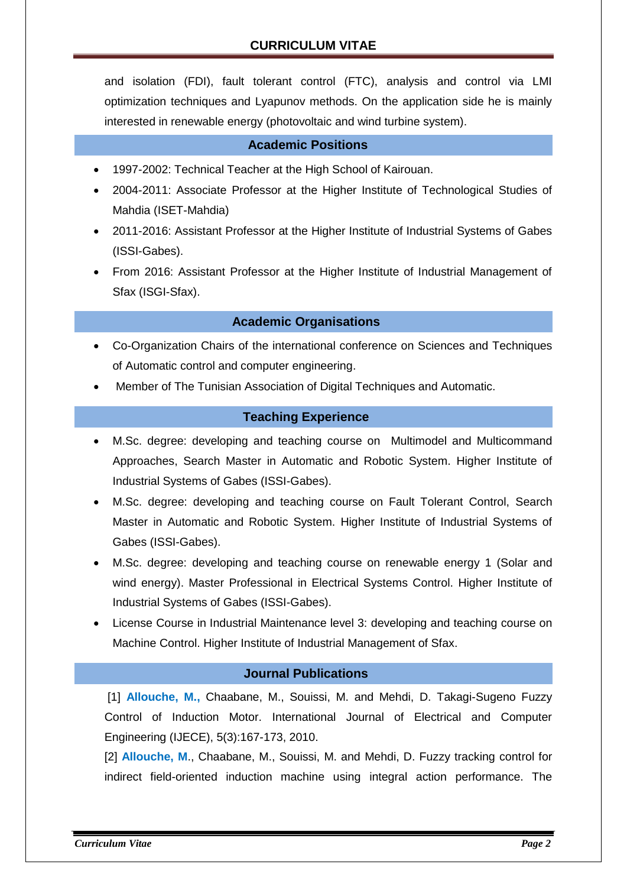and isolation (FDI), fault tolerant control (FTC), analysis and control via LMI optimization techniques and Lyapunov methods. On the application side he is mainly interested in renewable energy (photovoltaic and wind turbine system).

#### **Academic Positions**

- 1997-2002: Technical Teacher at the High School of Kairouan.
- 2004-2011: Associate Professor at the Higher Institute of Technological Studies of Mahdia (ISET-Mahdia)
- 2011-2016: Assistant Professor at the Higher Institute of Industrial Systems of Gabes (ISSI-Gabes).
- From 2016: Assistant Professor at the Higher Institute of Industrial Management of Sfax (ISGI-Sfax).

## **Academic Organisations**

- Co-Organization Chairs of the international conference on Sciences and Techniques of Automatic control and computer engineering.
- Member of The Tunisian Association of Digital Techniques and Automatic.

#### **Teaching Experience**

- M.Sc. degree: developing and teaching course on Multimodel and Multicommand Approaches, Search Master in Automatic and Robotic System. Higher Institute of Industrial Systems of Gabes (ISSI-Gabes).
- M.Sc. degree: developing and teaching course on Fault Tolerant Control, Search Master in Automatic and Robotic System. Higher Institute of Industrial Systems of Gabes (ISSI-Gabes).
- M.Sc. degree: developing and teaching course on renewable energy 1 (Solar and wind energy). Master Professional in Electrical Systems Control. Higher Institute of Industrial Systems of Gabes (ISSI-Gabes).
- License Course in Industrial Maintenance level 3: developing and teaching course on Machine Control. Higher Institute of Industrial Management of Sfax.

#### **Journal Publications**

[1] **Allouche, M.,** Chaabane, M., Souissi, M. and Mehdi, D. Takagi-Sugeno Fuzzy Control of Induction Motor. International Journal of Electrical and Computer Engineering (IJECE), 5(3):167-173, 2010.

[2] **Allouche, M**., Chaabane, M., Souissi, M. and Mehdi, D. Fuzzy tracking control for indirect field-oriented induction machine using integral action performance. The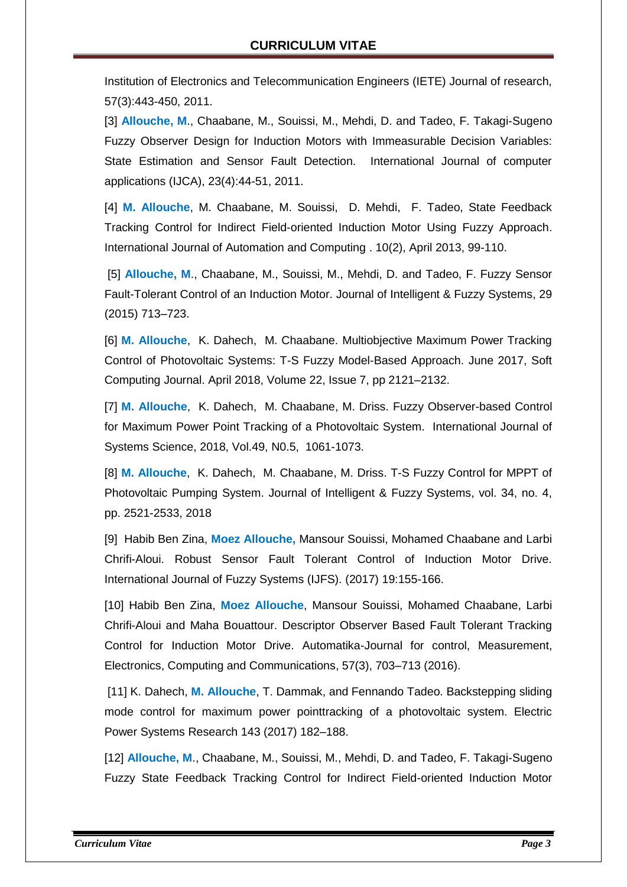Institution of Electronics and Telecommunication Engineers (IETE) Journal of research, 57(3):443-450, 2011.

[3] **Allouche, M**., Chaabane, M., Souissi, M., Mehdi, D. and Tadeo, F. Takagi-Sugeno Fuzzy Observer Design for Induction Motors with Immeasurable Decision Variables: State Estimation and Sensor Fault Detection. International Journal of computer applications (IJCA), 23(4):44-51, 2011.

[4] **M. Allouche**, M. Chaabane, M. Souissi, D. Mehdi, F. Tadeo, State Feedback Tracking Control for Indirect Field-oriented Induction Motor Using Fuzzy Approach. International Journal of Automation and Computing . 10(2), April 2013, 99-110.

[5] **Allouche, M**., Chaabane, M., Souissi, M., Mehdi, D. and Tadeo, F. Fuzzy Sensor Fault-Tolerant Control of an Induction Motor. Journal of Intelligent & Fuzzy Systems, 29 (2015) 713–723.

[6] **M. Allouche**, K. Dahech, M. Chaabane. Multiobjective Maximum Power Tracking Control of Photovoltaic Systems: T-S Fuzzy Model-Based Approach. June 2017, Soft Computing Journal. April 2018, Volume 22, Issue 7, pp 2121–2132.

[7] **M. Allouche**, K. Dahech, M. Chaabane, M. Driss. Fuzzy Observer-based Control for Maximum Power Point Tracking of a Photovoltaic System. International Journal of Systems Science, 2018, Vol.49, N0.5, 1061-1073.

[8] **M. Allouche**, K. Dahech, M. Chaabane, M. Driss. T-S Fuzzy Control for MPPT of Photovoltaic Pumping System. Journal of Intelligent & Fuzzy Systems, vol. 34, no. 4, pp. 2521-2533, 2018

[9] Habib Ben Zina, **Moez Allouche,** Mansour Souissi, Mohamed Chaabane and Larbi Chrifi-Aloui. Robust Sensor Fault Tolerant Control of Induction Motor Drive. International Journal of Fuzzy Systems (IJFS). (2017) 19:155-166.

[10] Habib Ben Zina, **Moez Allouche**, Mansour Souissi, Mohamed Chaabane, Larbi Chrifi-Aloui and Maha Bouattour. Descriptor Observer Based Fault Tolerant Tracking Control for Induction Motor Drive. Automatika-Journal for control, Measurement, Electronics, Computing and Communications, 57(3), 703–713 (2016).

[11] K. Dahech, **M. Allouche**, T. Dammak, and Fennando Tadeo. Backstepping sliding mode control for maximum power pointtracking of a photovoltaic system. Electric Power Systems Research 143 (2017) 182–188.

[12] **Allouche, M**., Chaabane, M., Souissi, M., Mehdi, D. and Tadeo, F. Takagi-Sugeno Fuzzy State Feedback Tracking Control for Indirect Field-oriented Induction Motor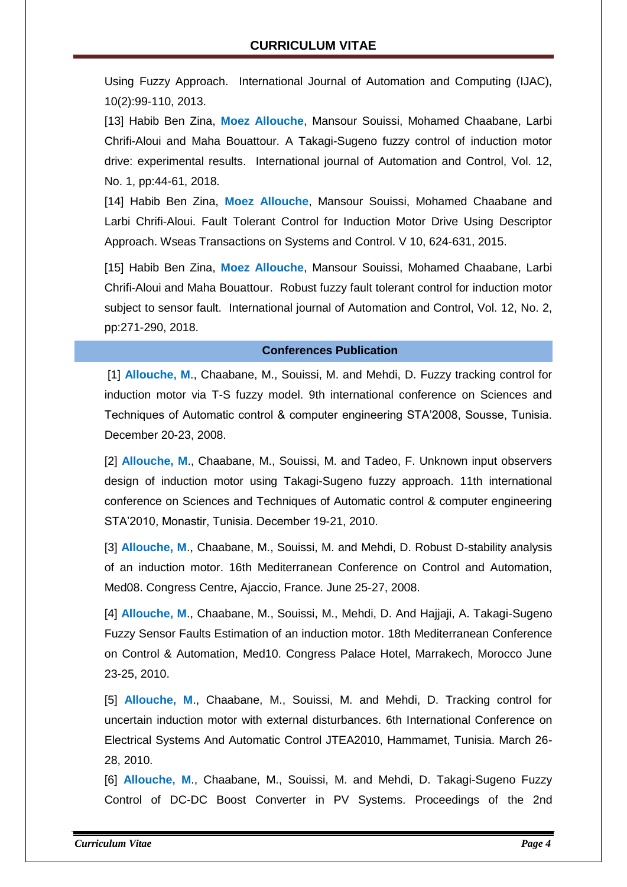Using Fuzzy Approach. International Journal of Automation and Computing (IJAC), 10(2):99-110, 2013.

[13] Habib Ben Zina, **Moez Allouche**, Mansour Souissi, Mohamed Chaabane, Larbi Chrifi-Aloui and Maha Bouattour. A Takagi-Sugeno fuzzy control of induction motor drive: experimental results. International journal of Automation and Control, Vol. 12, No. 1, pp:44-61, 2018.

[14] Habib Ben Zina, **Moez Allouche**, Mansour Souissi, Mohamed Chaabane and Larbi Chrifi-Aloui. Fault Tolerant Control for Induction Motor Drive Using Descriptor Approach. Wseas Transactions on Systems and Control. V 10, 624-631, 2015.

[15] Habib Ben Zina, **Moez Allouche**, Mansour Souissi, Mohamed Chaabane, Larbi Chrifi-Aloui and Maha Bouattour. Robust fuzzy fault tolerant control for induction motor subject to sensor fault. International journal of Automation and Control, Vol. 12, No. 2, pp:271-290, 2018.

#### **Conferences Publication**

[1] **Allouche, M**., Chaabane, M., Souissi, M. and Mehdi, D. Fuzzy tracking control for induction motor via T-S fuzzy model. 9th international conference on Sciences and Techniques of Automatic control & computer engineering STA'2008, Sousse, Tunisia. December 20-23, 2008.

[2] **Allouche, M**., Chaabane, M., Souissi, M. and Tadeo, F. Unknown input observers design of induction motor using Takagi-Sugeno fuzzy approach. 11th international conference on Sciences and Techniques of Automatic control & computer engineering STA'2010, Monastir, Tunisia. December 19-21, 2010.

[3] **Allouche, M**., Chaabane, M., Souissi, M. and Mehdi, D. Robust D-stability analysis of an induction motor. 16th Mediterranean Conference on Control and Automation, Med08. Congress Centre, Ajaccio, France. June 25-27, 2008.

[4] **Allouche, M**., Chaabane, M., Souissi, M., Mehdi, D. And Hajjaji, A. Takagi-Sugeno Fuzzy Sensor Faults Estimation of an induction motor. 18th Mediterranean Conference on Control & Automation, Med10. Congress Palace Hotel, Marrakech, Morocco June 23-25, 2010.

[5] **Allouche, M**., Chaabane, M., Souissi, M. and Mehdi, D. Tracking control for uncertain induction motor with external disturbances. 6th International Conference on Electrical Systems And Automatic Control JTEA2010, Hammamet, Tunisia. March 26- 28, 2010.

[6] **Allouche, M**., Chaabane, M., Souissi, M. and Mehdi, D. Takagi-Sugeno Fuzzy Control of DC-DC Boost Converter in PV Systems. Proceedings of the 2nd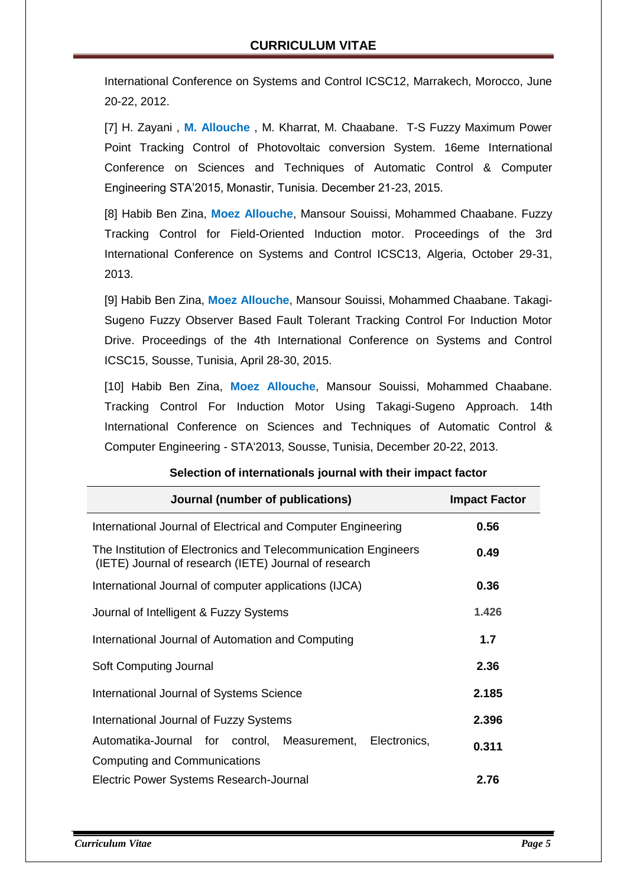International Conference on Systems and Control ICSC12, Marrakech, Morocco, June 20-22, 2012.

[7] H. Zayani , **M. Allouche** , M. Kharrat, M. Chaabane. T-S Fuzzy Maximum Power Point Tracking Control of Photovoltaic conversion System. 16eme International Conference on Sciences and Techniques of Automatic Control & Computer Engineering STA'2015, Monastir, Tunisia. December 21-23, 2015.

[8] Habib Ben Zina, **Moez Allouche**, Mansour Souissi, Mohammed Chaabane. Fuzzy Tracking Control for Field-Oriented Induction motor. Proceedings of the 3rd International Conference on Systems and Control ICSC13, Algeria, October 29-31, 2013.

[9] Habib Ben Zina, **Moez Allouche**, Mansour Souissi, Mohammed Chaabane. Takagi-Sugeno Fuzzy Observer Based Fault Tolerant Tracking Control For Induction Motor Drive. Proceedings of the 4th International Conference on Systems and Control ICSC15, Sousse, Tunisia, April 28-30, 2015.

[10] Habib Ben Zina, **Moez Allouche**, Mansour Souissi, Mohammed Chaabane. Tracking Control For Induction Motor Using Takagi-Sugeno Approach. 14th International Conference on Sciences and Techniques of Automatic Control & Computer Engineering - STA'2013, Sousse, Tunisia, December 20-22, 2013.

| Journal (number of publications)                                                                                        | <b>Impact Factor</b> |
|-------------------------------------------------------------------------------------------------------------------------|----------------------|
| International Journal of Electrical and Computer Engineering                                                            | 0.56                 |
| The Institution of Electronics and Telecommunication Engineers<br>(IETE) Journal of research (IETE) Journal of research | 0.49                 |
| International Journal of computer applications (IJCA)                                                                   | 0.36                 |
| Journal of Intelligent & Fuzzy Systems                                                                                  | 1.426                |
| International Journal of Automation and Computing                                                                       | 1.7                  |
| Soft Computing Journal                                                                                                  | 2.36                 |
| International Journal of Systems Science                                                                                | 2.185                |
| International Journal of Fuzzy Systems                                                                                  | 2.396                |
| Automatika-Journal for control, Measurement,<br>Electronics,                                                            | 0.311                |
| Computing and Communications                                                                                            |                      |
| Electric Power Systems Research-Journal                                                                                 | 2.76                 |

## **Selection of internationals journal with their impact factor**